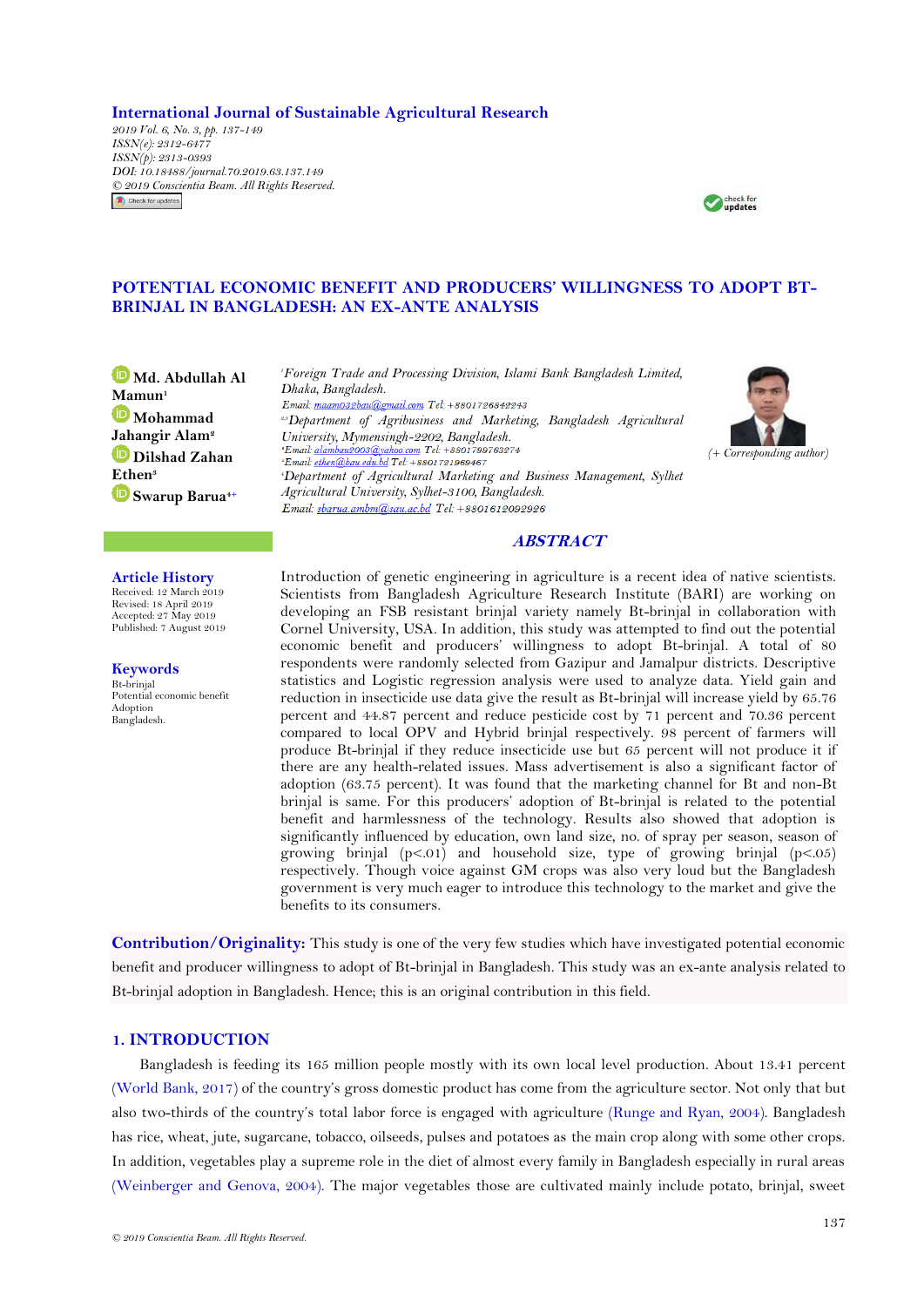**International Journal of Sustainable Agricultural Research**

*2019 Vol. 6, No. 3, pp. 137-149 ISSN(e): 2312-6477 ISSN(p): 2313-0393 DOI: 10.18488/journal.70.2019.63.137.149 © 2019 Conscientia Beam. All Rights Reserved.*Check for updates



# **POTENTIAL ECONOMIC BENEFIT AND PRODUCERS' WILLINGNESS TO ADOPT BT-BRINJAL IN BANGLADESH: AN EX-ANTE ANALYSIS**

**[M](https://orcid.org/0000-0001-5782-8966)d. Abdullah Al Mamun<sup>1</sup> [M](https://orcid.org/0000-0003-3412-9438)ohammad Jahangir Alam<sup>2</sup> [D](https://orcid.org/0000-0001-7222-6285)ilshad Zahan Ethen<sup>3</sup> [S](https://orcid.org/0000-0002-8221-8809)warup Barua4+**

*<sup>1</sup>Foreign Trade and Processing Division, Islami Bank Bangladesh Limited, Dhaka, Bangladesh.*  Email: maam032bau@gmail.com Tel: +8801726842243 *2,3Department of Agribusiness and Marketing, Bangladesh Agricultural University, Mymensingh-2202, Bangladesh.* <sup>2</sup>Email: ethen@bau.edu.bd Tel: +8801721969467 *<sup>4</sup>Department of Agricultural Marketing and Business Management, Sylhet Agricultural University, Sylhet-3100, Bangladesh.* Email: sbarua.ambm@sau.ac.bd Tel: +8801612092926



### **ABSTRACT**

#### **Article History**

Received: 12 March 2019 Revised: 18 April 2019 Accepted: 27 May 2019 Published: 7 August 2019

**Keywords** Bt-brinjal Potential economic benefit Adoption Bangladesh.

Introduction of genetic engineering in agriculture is a recent idea of native scientists. Scientists from Bangladesh Agriculture Research Institute (BARI) are working on developing an FSB resistant brinjal variety namely Bt-brinjal in collaboration with Cornel University, USA. In addition, this study was attempted to find out the potential economic benefit and producers' willingness to adopt Bt-brinjal. A total of 80 respondents were randomly selected from Gazipur and Jamalpur districts. Descriptive statistics and Logistic regression analysis were used to analyze data. Yield gain and reduction in insecticide use data give the result as Bt-brinjal will increase yield by 65.76 percent and 44.87 percent and reduce pesticide cost by 71 percent and 70.36 percent compared to local OPV and Hybrid brinjal respectively. 98 percent of farmers will produce Bt-brinjal if they reduce insecticide use but 65 percent will not produce it if there are any health-related issues. Mass advertisement is also a significant factor of adoption (63.75 percent). It was found that the marketing channel for Bt and non-Bt brinjal is same. For this producers" adoption of Bt-brinjal is related to the potential benefit and harmlessness of the technology. Results also showed that adoption is significantly influenced by education, own land size, no. of spray per season, season of growing brinjal  $(p<.01)$  and household size, type of growing brinjal  $(p<.05)$ respectively. Though voice against GM crops was also very loud but the Bangladesh government is very much eager to introduce this technology to the market and give the benefits to its consumers.

**Contribution/Originality:** This study is one of the very few studies which have investigated potential economic benefit and producer willingness to adopt of Bt-brinjal in Bangladesh. This study was an ex-ante analysis related to Bt-brinjal adoption in Bangladesh. Hence; this is an original contribution in this field.

### **1. INTRODUCTION**

Bangladesh is feeding its 165 million people mostly with its own local level production. About 13.41 percent [\(World Bank, 2017\)](#page-12-0) of the country"s gross domestic product has come from the agriculture sector. Not only that but also two-thirds of the country"s total labor force is engaged with agriculture [\(Runge and Ryan, 2004\)](#page-12-1). Bangladesh has rice, wheat, jute, sugarcane, tobacco, oilseeds, pulses and potatoes as the main crop along with some other crops. In addition, vegetables play a supreme role in the diet of almost every family in Bangladesh especially in rural areas [\(Weinberger and Genova, 2004\)](#page-12-2). The major vegetables those are cultivated mainly include potato, brinjal, sweet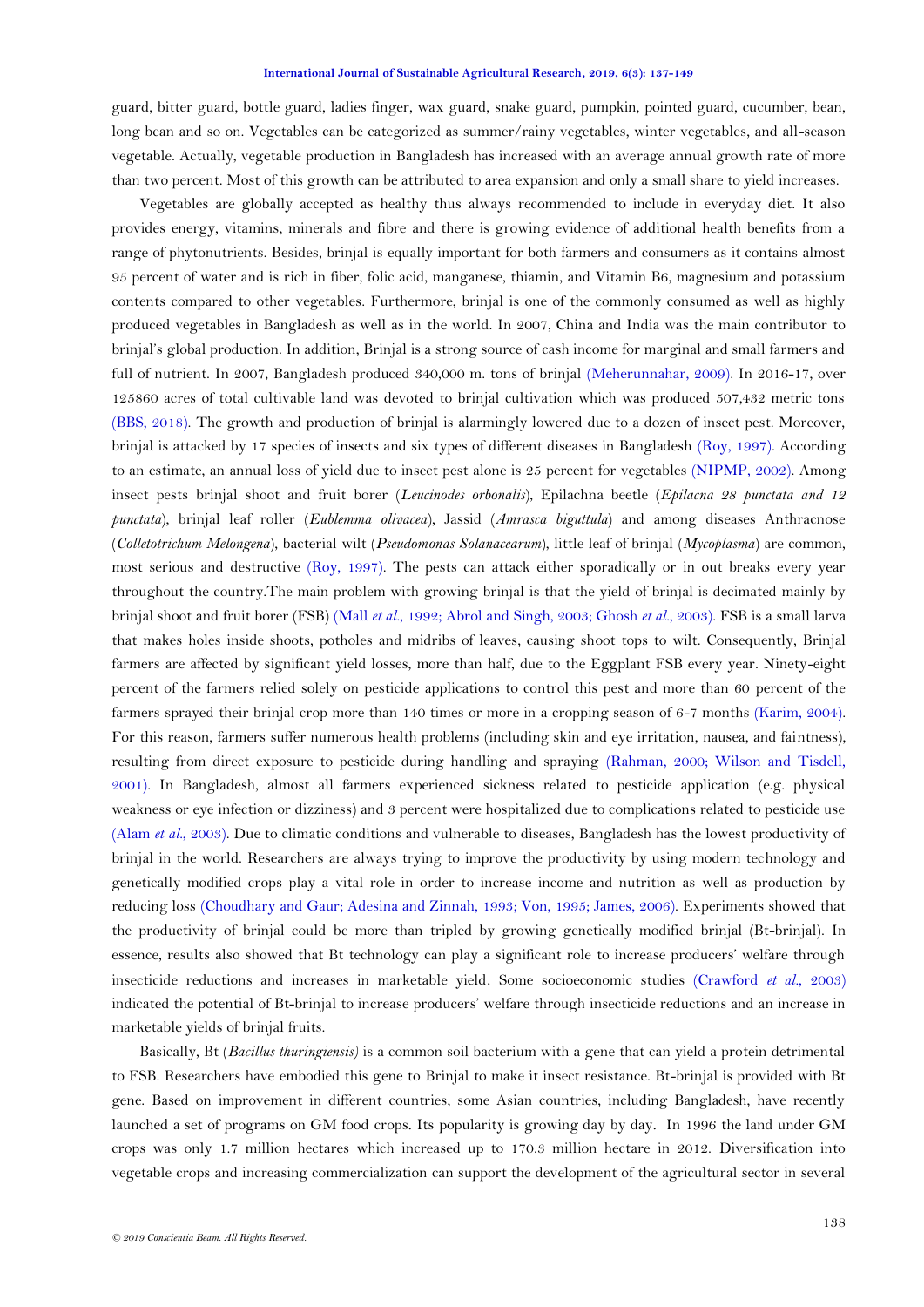guard, bitter guard, bottle guard, ladies finger, wax guard, snake guard, pumpkin, pointed guard, cucumber, bean, long bean and so on. Vegetables can be categorized as summer/rainy vegetables, winter vegetables, and all-season vegetable. Actually, vegetable production in Bangladesh has increased with an average annual growth rate of more than two percent. Most of this growth can be attributed to area expansion and only a small share to yield increases.

Vegetables are globally accepted as healthy thus always recommended to include in everyday diet. It also provides energy, vitamins, minerals and fibre and there is growing evidence of additional health benefits from a range of phytonutrients. Besides, brinjal is equally important for both farmers and consumers as it contains almost 95 percent of water and is rich in fiber, folic acid, manganese, thiamin, and Vitamin B6, magnesium and potassium contents compared to other vegetables. Furthermore, brinjal is one of the commonly consumed as well as highly produced vegetables in Bangladesh as well as in the world. In 2007, China and India was the main contributor to brinjal"s global production. In addition, Brinjal is a strong source of cash income for marginal and small farmers and full of nutrient. In 2007, Bangladesh produced 340,000 m. tons of brinjal [\(Meherunnahar, 2009\)](#page-11-0). In 2016-17, over 125860 acres of total cultivable land was devoted to brinjal cultivation which was produced 507,432 metric tons [\(BBS, 2018\)](#page-11-1). The growth and production of brinjal is alarmingly lowered due to a dozen of insect pest. Moreover, brinjal is attacked by 17 species of insects and six types of different diseases in Bangladesh [\(Roy, 1997\)](#page-12-3). According to an estimate, an annual loss of yield due to insect pest alone is 25 percent for vegetables [\(NIPMP, 2002\)](#page-11-2). Among insect pests brinjal shoot and fruit borer (*Leucinodes orbonalis*), Epilachna beetle (*Epilacna 28 punctata and 12 punctata*), brinjal leaf roller (*Eublemma olivacea*), Jassid (*Amrasca biguttula*) and among diseases Anthracnose (*Colletotrichum Melongena*), bacterial wilt (*Pseudomonas Solanacearum*), little leaf of brinjal (*Mycoplasma*) are common, most serious and destructive [\(Roy, 1997\)](#page-12-3). The pests can attack either sporadically or in out breaks every year throughout the country.The main problem with growing brinjal is that the yield of brinjal is decimated mainly by brinjal shoot and fruit borer (FSB) (Mall *et al.*[, 1992;](#page-11-3) [Abrol and Singh, 2003;](#page-10-0) [Ghosh](#page-11-4) *et al.*, 2003). FSB is a small larva that makes holes inside shoots, potholes and midribs of leaves, causing shoot tops to wilt. Consequently, Brinjal farmers are affected by significant yield losses, more than half, due to the Eggplant FSB every year. Ninety-eight percent of the farmers relied solely on pesticide applications to control this pest and more than 60 percent of the farmers sprayed their brinjal crop more than 140 times or more in a cropping season of 6-7 months [\(Karim, 2004\)](#page-11-5). For this reason, farmers suffer numerous health problems (including skin and eye irritation, nausea, and faintness), resulting from direct exposure to pesticide during handling and spraying [\(Rahman, 2000;](#page-11-6) [Wilson and Tisdell,](#page-12-4)  [2001\)](#page-12-4). In Bangladesh, almost all farmers experienced sickness related to pesticide application (e.g. physical weakness or eye infection or dizziness) and 3 percent were hospitalized due to complications related to pesticide use (Alam *et al.*[, 2003\)](#page-11-7). Due to climatic conditions and vulnerable to diseases, Bangladesh has the lowest productivity of brinjal in the world. Researchers are always trying to improve the productivity by using modern technology and genetically modified crops play a vital role in order to increase income and nutrition as well as production by reducing loss [\(Choudhary and Gaur;](#page-11-8) [Adesina and Zinnah, 1993;](#page-10-1) [Von, 1995;](#page-12-5) [James, 2006\)](#page-11-9). Experiments showed that the productivity of brinjal could be more than tripled by growing genetically modified brinjal (Bt-brinjal). In essence, results also showed that Bt technology can play a significant role to increase producers' welfare through insecticide reductions and increases in marketable yield. Some socioeconomic studies [\(Crawford](#page-11-10) *et al.*, 2003) indicated the potential of Bt-brinjal to increase producers" welfare through insecticide reductions and an increase in marketable yields of brinjal fruits.

Basically, Bt (*Bacillus thuringiensis)* is a common soil bacterium with a gene that can yield a protein detrimental to FSB. Researchers have embodied this gene to Brinjal to make it insect resistance. Bt-brinjal is provided with Bt gene. Based on improvement in different countries, some Asian countries, including Bangladesh, have recently launched a set of programs on GM food crops. Its popularity is growing day by day. In 1996 the land under GM crops was only 1.7 million hectares which increased up to 170.3 million hectare in 2012. Diversification into vegetable crops and increasing commercialization can support the development of the agricultural sector in several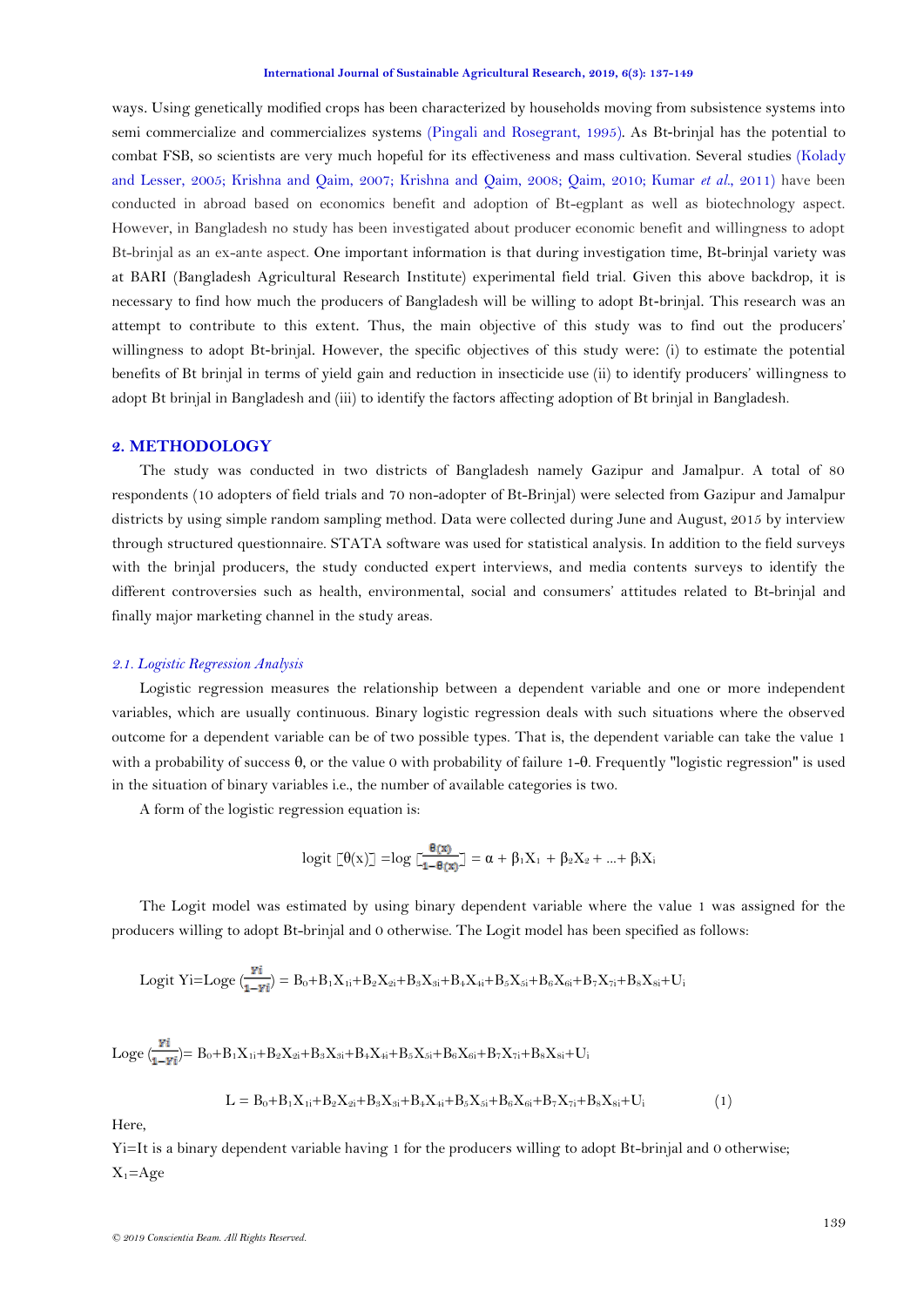ways. Using genetically modified crops has been characterized by households moving from subsistence systems into semi commercialize and commercializes systems [\(Pingali and Rosegrant, 1995\)](#page-11-11). As Bt-brinjal has the potential to combat FSB, so scientists are very much hopeful for its effectiveness and mass cultivation. Several studies [\(Kolady](#page-11-12)  [and Lesser, 2005;](#page-11-12) [Krishna and Qaim, 2007;](#page-11-13) [Krishna and Qaim, 2008;](#page-11-14) [Qaim, 2010;](#page-11-15) [Kumar](#page-11-16) *et al.*, 2011) have been conducted in abroad based on economics benefit and adoption of Bt-egplant as well as biotechnology aspect. However, in Bangladesh no study has been investigated about producer economic benefit and willingness to adopt Bt-brinjal as an ex-ante aspect. One important information is that during investigation time, Bt-brinjal variety was at BARI (Bangladesh Agricultural Research Institute) experimental field trial. Given this above backdrop, it is necessary to find how much the producers of Bangladesh will be willing to adopt Bt-brinjal. This research was an attempt to contribute to this extent. Thus, the main objective of this study was to find out the producers" willingness to adopt Bt-brinjal. However, the specific objectives of this study were: (i) to estimate the potential benefits of Bt brinjal in terms of yield gain and reduction in insecticide use (ii) to identify producers" willingness to adopt Bt brinjal in Bangladesh and (iii) to identify the factors affecting adoption of Bt brinjal in Bangladesh.

### **2. METHODOLOGY**

The study was conducted in two districts of Bangladesh namely Gazipur and Jamalpur. A total of 80 respondents (10 adopters of field trials and 70 non-adopter of Bt-Brinjal) were selected from Gazipur and Jamalpur districts by using simple random sampling method. Data were collected during June and August, 2015 by interview through structured questionnaire. STATA software was used for statistical analysis. In addition to the field surveys with the brinjal producers, the study conducted expert interviews, and media contents surveys to identify the different controversies such as health, environmental, social and consumers" attitudes related to Bt-brinjal and finally major marketing channel in the study areas.

#### *2.1. Logistic Regression Analysis*

Logistic regression measures the relationship between a dependent variable and one or more independent variables, which are usually [continuous. B](http://en.wikipedia.org/wiki/Level_of_measurement#Interval_scale)inary logistic regression deals with such situations where the observed outcome for a [dependent variable c](http://en.wikipedia.org/wiki/Dependent_variable)an be of two possible types. That is, the dependent variable can take the value 1 with a probability of success  $\theta$ , or the value 0 with probability of failure 1- $\theta$ . Frequently "logistic regression" is used in the situation of [binary v](http://en.wikipedia.org/wiki/Binary_variable)ariables i.e., the number of available categories is two.

A form of the logistic regression equation is:

$$
logit \; \lbrack\!\lbrack \theta(x) \rbrack\!\rbrack = log \; \lbrack\!\lbrack \frac{\theta(x)}{1-\theta(x)} \rbrack\!\rbrack = \alpha + \beta_1 X_1 + \beta_2 X_2 + ... + \beta_i X_i
$$

The Logit model was estimated by using binary dependent variable where the value 1 was assigned for the producers willing to adopt Bt-brinjal and 0 otherwise. The Logit model has been specified as follows:

Logit Yi=Loge 
$$
\left(\frac{\mathbf{y_i}}{1-\mathbf{y_i}}\right) = B_0 + B_1 X_{1i} + B_2 X_{2i} + B_3 X_{3i} + B_4 X_{4i} + B_5 X_{5i} + B_6 X_{6i} + B_7 X_{7i} + B_8 X_{8i} + U_1
$$

$$
Loge \ (\frac{ri}{1-\gamma i}) = B_0 + B_1 X_{1i} + B_2 X_{2i} + B_3 X_{3i} + B_4 X_{4i} + B_5 X_{5i} + B_6 X_{6i} + B_7 X_{7i} + B_8 X_{8i} + U_i
$$

$$
L = B_0 + B_1 X_{1i} + B_2 X_{2i} + B_3 X_{3i} + B_4 X_{4i} + B_5 X_{5i} + B_6 X_{6i} + B_7 X_{7i} + B_8 X_{8i} + U_i
$$
 (1)

Here,

Yi=It is a binary dependent variable having 1 for the producers willing to adopt Bt-brinjal and 0 otherwise;  $X_1 = Age$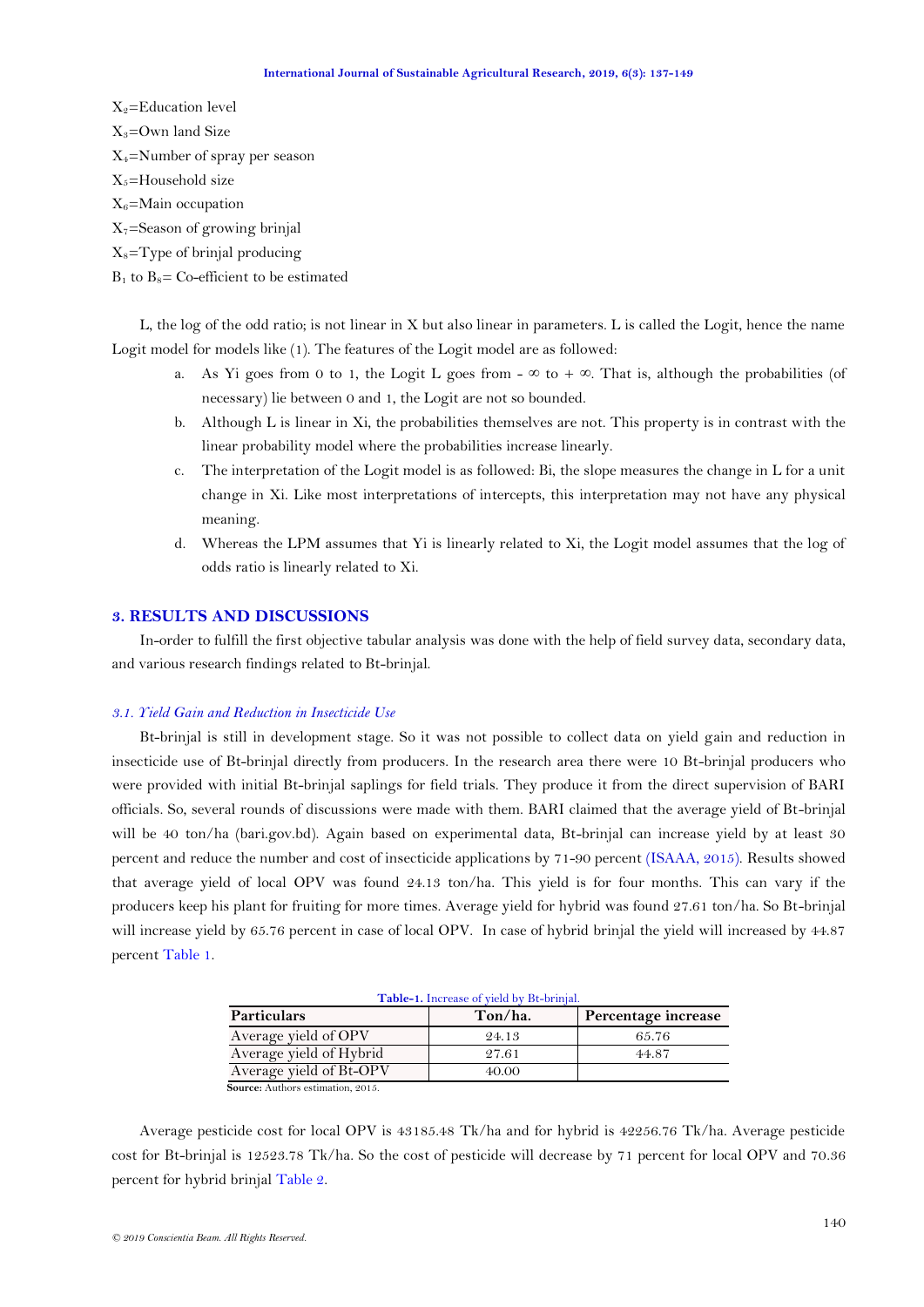$X_2$ =Education level  $X_3$ =Own land Size X4=Number of spray per season  $X_5$ =Household size  $X_6$ =Main occupation  $X_7$ =Season of growing brinjal  $X_8$ =Type of brinjal producing

# $B_1$  to  $B_8$ = Co-efficient to be estimated

L, the log of the odd ratio; is not linear in X but also linear in parameters. L is called the Logit, hence the name Logit model for models like (1). The features of the Logit model are as followed:

- a. As Yi goes from 0 to 1, the Logit L goes from  $-\infty$  to  $+\infty$ . That is, although the probabilities (of necessary) lie between 0 and 1, the Logit are not so bounded.
- b. Although L is linear in Xi, the probabilities themselves are not. This property is in contrast with the linear probability model where the probabilities increase linearly.
- c. The interpretation of the Logit model is as followed: Bi, the slope measures the change in L for a unit change in Xi. Like most interpretations of intercepts, this interpretation may not have any physical meaning.
- d. Whereas the LPM assumes that Yi is linearly related to Xi, the Logit model assumes that the log of odds ratio is linearly related to Xi.

### **3. RESULTS AND DISCUSSIONS**

In-order to fulfill the first objective tabular analysis was done with the help of field survey data, secondary data, and various research findings related to Bt-brinjal.

### *3.1. Yield Gain and Reduction in Insecticide Use*

Bt-brinjal is still in development stage. So it was not possible to collect data on yield gain and reduction in insecticide use of Bt-brinjal directly from producers. In the research area there were 10 Bt-brinjal producers who were provided with initial Bt-brinjal saplings for field trials. They produce it from the direct supervision of BARI officials. So, several rounds of discussions were made with them. BARI claimed that the average yield of Bt-brinjal will be 40 ton/ha (bari.gov.bd). Again based on experimental data, Bt-brinjal can increase yield by at least 30 percent and reduce the number and cost of insecticide applications by 71-90 percent [\(ISAAA, 2015\)](#page-11-17). Results showed that average yield of local OPV was found 24.13 ton/ha. This yield is for four months. This can vary if the producers keep his plant for fruiting for more times. Average yield for hybrid was found 27.61 ton/ha. So Bt-brinjal will increase yield by 65.76 percent in case of local OPV. In case of hybrid brinjal the yield will increased by 44.87 percent [Table 1.](#page-3-0)

<span id="page-3-0"></span>

| Table-1. Increase of yield by Bt-brinjal. |         |                     |  |  |  |
|-------------------------------------------|---------|---------------------|--|--|--|
| Particulars                               | Ton/ha. | Percentage increase |  |  |  |
| Average yield of OPV                      | 24.13   | 65.76               |  |  |  |
| Average yield of Hybrid                   | 27.61   | 44.87               |  |  |  |
| Average yield of Bt-OPV                   | 40.00   |                     |  |  |  |
| $l$ aunaa, Authana aatimatian, 0015       |         |                     |  |  |  |

 **Source:** Authors estimation, 2015.

Average pesticide cost for local OPV is 43185.48 Tk/ha and for hybrid is 42256.76 Tk/ha. Average pesticide cost for Bt-brinjal is 12523.78 Tk/ha. So the cost of pesticide will decrease by 71 percent for local OPV and 70.36 percent for hybrid brinja[l Table 2.](#page-4-0)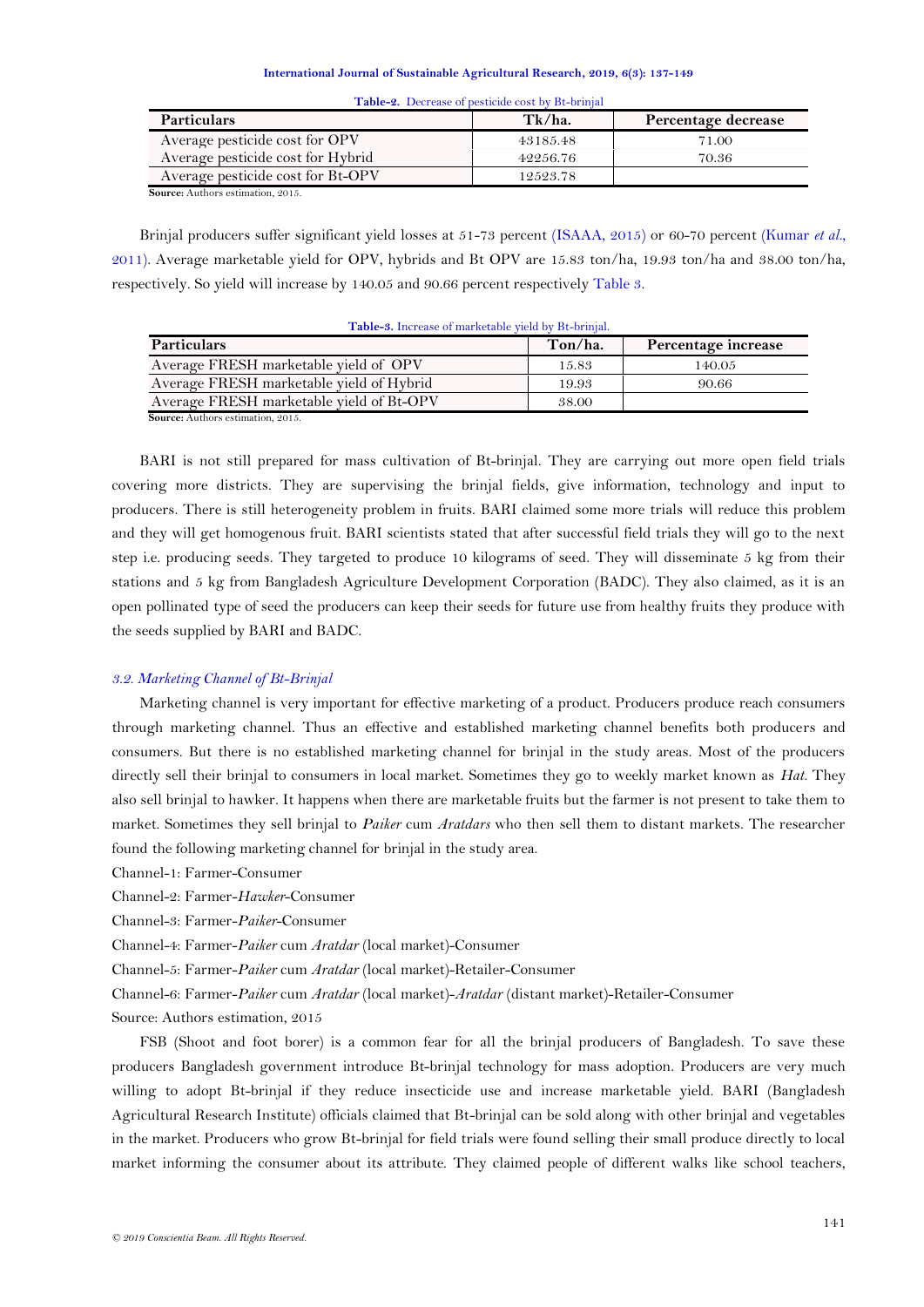<span id="page-4-0"></span>

| Table-2. Decrease of pesticide cost by Bt-brinjal |          |                     |  |  |  |
|---------------------------------------------------|----------|---------------------|--|--|--|
| <b>Particulars</b>                                | Tk/ha.   | Percentage decrease |  |  |  |
| Average pesticide cost for OPV                    | 43185.48 | 71.00               |  |  |  |
| Average pesticide cost for Hybrid                 | 42256.76 | 70.36               |  |  |  |
| Average pesticide cost for Bt-OPV                 | 12523.78 |                     |  |  |  |
| $\mathcal{C}$ and $\mathcal{C}$ and               |          |                     |  |  |  |

 **Source:** Authors estimation, 2015.

Brinjal producers suffer significant yield losses at 51-73 percent [\(ISAAA, 2015\)](#page-11-17) or 60-70 percent [\(Kumar](#page-11-16) *et al.*, [2011\)](#page-11-16). Average marketable yield for OPV, hybrids and Bt OPV are 15.83 ton/ha, 19.93 ton/ha and 38.00 ton/ha, respectively. So yield will increase by 140.05 and 90.66 percent respectively [Table 3.](#page-4-1)

| <b>Particulars</b>                       | Ton/ha. | Percentage increase |
|------------------------------------------|---------|---------------------|
| Average FRESH marketable yield of OPV    | 15.83   | 140.05              |
| Average FRESH marketable yield of Hybrid | 19.93   | 90.66               |
| Average FRESH marketable yield of Bt-OPV | 38.00   |                     |

<span id="page-4-1"></span>**Table-3.** Increase of marketable yield by Bt-brinjal.

BARI is not still prepared for mass cultivation of Bt-brinjal. They are carrying out more open field trials covering more districts. They are supervising the brinjal fields, give information, technology and input to producers. There is still heterogeneity problem in fruits. BARI claimed some more trials will reduce this problem and they will get homogenous fruit. BARI scientists stated that after successful field trials they will go to the next step i.e. producing seeds. They targeted to produce 10 kilograms of seed. They will disseminate 5 kg from their stations and 5 kg from Bangladesh Agriculture Development Corporation (BADC). They also claimed, as it is an open pollinated type of seed the producers can keep their seeds for future use from healthy fruits they produce with the seeds supplied by BARI and BADC.

### *3.2. Marketing Channel of Bt-Brinjal*

Marketing channel is very important for effective marketing of a product. Producers produce reach consumers through marketing channel. Thus an effective and established marketing channel benefits both producers and consumers. But there is no established marketing channel for brinjal in the study areas. Most of the producers directly sell their brinjal to consumers in local market. Sometimes they go to weekly market known as *Hat.* They also sell brinjal to hawker. It happens when there are marketable fruits but the farmer is not present to take them to market. Sometimes they sell brinjal to *Paiker* cum *Aratdars* who then sell them to distant markets. The researcher found the following marketing channel for brinjal in the study area.

Channel-1: Farmer-Consumer

Channel-2: Farmer-*Hawker*-Consumer

Channel-3: Farmer-*Paiker*-Consumer

Channel-4: Farmer-*Paiker* cum *Aratdar* (local market)-Consumer

Channel-5: Farmer-*Paiker* cum *Aratdar* (local market)-Retailer-Consumer

Channel-6: Farmer-*Paiker* cum *Aratdar* (local market)-*Aratdar* (distant market)-Retailer-Consumer

Source: Authors estimation, 2015

FSB (Shoot and foot borer) is a common fear for all the brinjal producers of Bangladesh. To save these producers Bangladesh government introduce Bt-brinjal technology for mass adoption. Producers are very much willing to adopt Bt-brinjal if they reduce insecticide use and increase marketable yield. BARI (Bangladesh Agricultural Research Institute) officials claimed that Bt-brinjal can be sold along with other brinjal and vegetables in the market. Producers who grow Bt-brinjal for field trials were found selling their small produce directly to local market informing the consumer about its attribute. They claimed people of different walks like school teachers,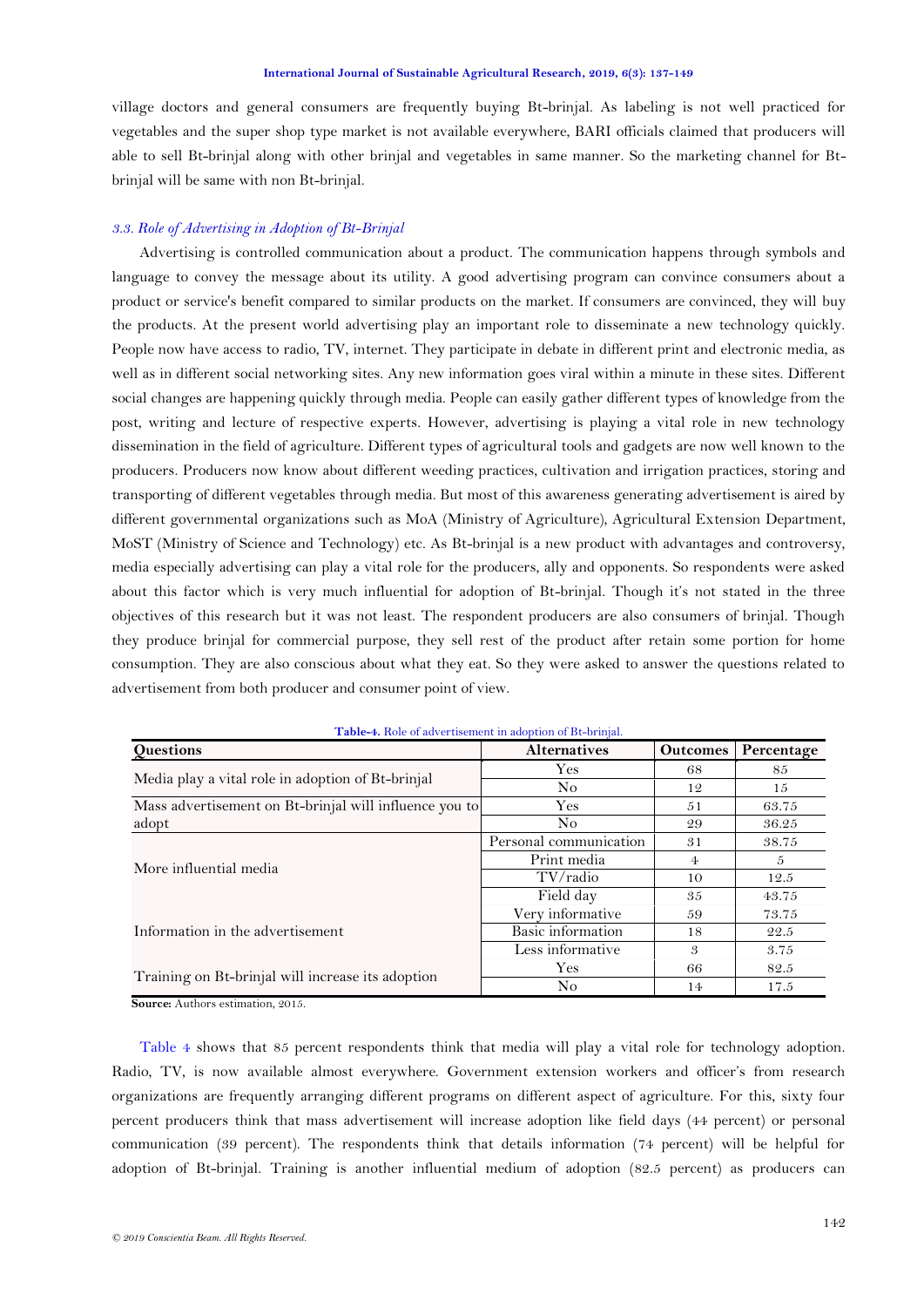village doctors and general consumers are frequently buying Bt-brinjal. As labeling is not well practiced for vegetables and the super shop type market is not available everywhere, BARI officials claimed that producers will able to sell Bt-brinjal along with other brinjal and vegetables in same manner. So the marketing channel for Btbrinjal will be same with non Bt-brinjal.

# *3.3. Role of Advertising in Adoption of Bt-Brinjal*

Advertising is controlled communication about a product. The communication happens through symbols and language to convey the message about its utility. A good advertising program can convince consumers about a product or service's benefit compared to similar products on the market. If consumers are convinced, they will buy the products. At the present world advertising play an important role to disseminate a new technology quickly. People now have access to radio, TV, internet. They participate in debate in different print and electronic media, as well as in different social networking sites. Any new information goes viral within a minute in these sites. Different social changes are happening quickly through media. People can easily gather different types of knowledge from the post, writing and lecture of respective experts. However, advertising is playing a vital role in new technology dissemination in the field of agriculture. Different types of agricultural tools and gadgets are now well known to the producers. Producers now know about different weeding practices, cultivation and irrigation practices, storing and transporting of different vegetables through media. But most of this awareness generating advertisement is aired by different governmental organizations such as MoA (Ministry of Agriculture), Agricultural Extension Department, MoST (Ministry of Science and Technology) etc. As Bt-brinjal is a new product with advantages and controversy, media especially advertising can play a vital role for the producers, ally and opponents. So respondents were asked about this factor which is very much influential for adoption of Bt-brinjal. Though it's not stated in the three objectives of this research but it was not least. The respondent producers are also consumers of brinjal. Though they produce brinjal for commercial purpose, they sell rest of the product after retain some portion for home consumption. They are also conscious about what they eat. So they were asked to answer the questions related to advertisement from both producer and consumer point of view.

<span id="page-5-0"></span>

| <b>Questions</b>                                       | <b>Alternatives</b>    | <b>Outcomes</b> | Percentage |
|--------------------------------------------------------|------------------------|-----------------|------------|
|                                                        | Yes                    | 68              | 85         |
| Media play a vital role in adoption of Bt-brinjal      | N <sub>o</sub>         | 12              | 15         |
| Mass advertisement on Bt-brinjal will influence you to | Yes                    | .51             | 63.75      |
| adopt                                                  | No.                    | 29              | 36.25      |
| More influential media                                 | Personal communication | 31              | 38.75      |
|                                                        | Print media            | $\overline{4}$  | 5          |
|                                                        | TV/radio               | 10              | 12.5       |
|                                                        | Field day              | 35              | 43.75      |
|                                                        | Very informative       | 59              | 73.75      |
| Information in the advertisement                       | Basic information      | 18              | 22.5       |
|                                                        | Less informative       | 3               | 3.75       |
|                                                        | Yes                    | 66              | 82.5       |
| Training on Bt-brinjal will increase its adoption      | No.                    | 14              | 17.5       |

| Table-4. Role of advertisement in adoption of Bt-brinjal. |  |  |  |
|-----------------------------------------------------------|--|--|--|
|                                                           |  |  |  |

**Source:** Authors estimation, 2015.

[Table 4](#page-5-0) shows that 85 percent respondents think that media will play a vital role for technology adoption. Radio, TV, is now available almost everywhere. Government extension workers and officer"s from research organizations are frequently arranging different programs on different aspect of agriculture. For this, sixty four percent producers think that mass advertisement will increase adoption like field days (44 percent) or personal communication (39 percent). The respondents think that details information (74 percent) will be helpful for adoption of Bt-brinjal. Training is another influential medium of adoption (82.5 percent) as producers can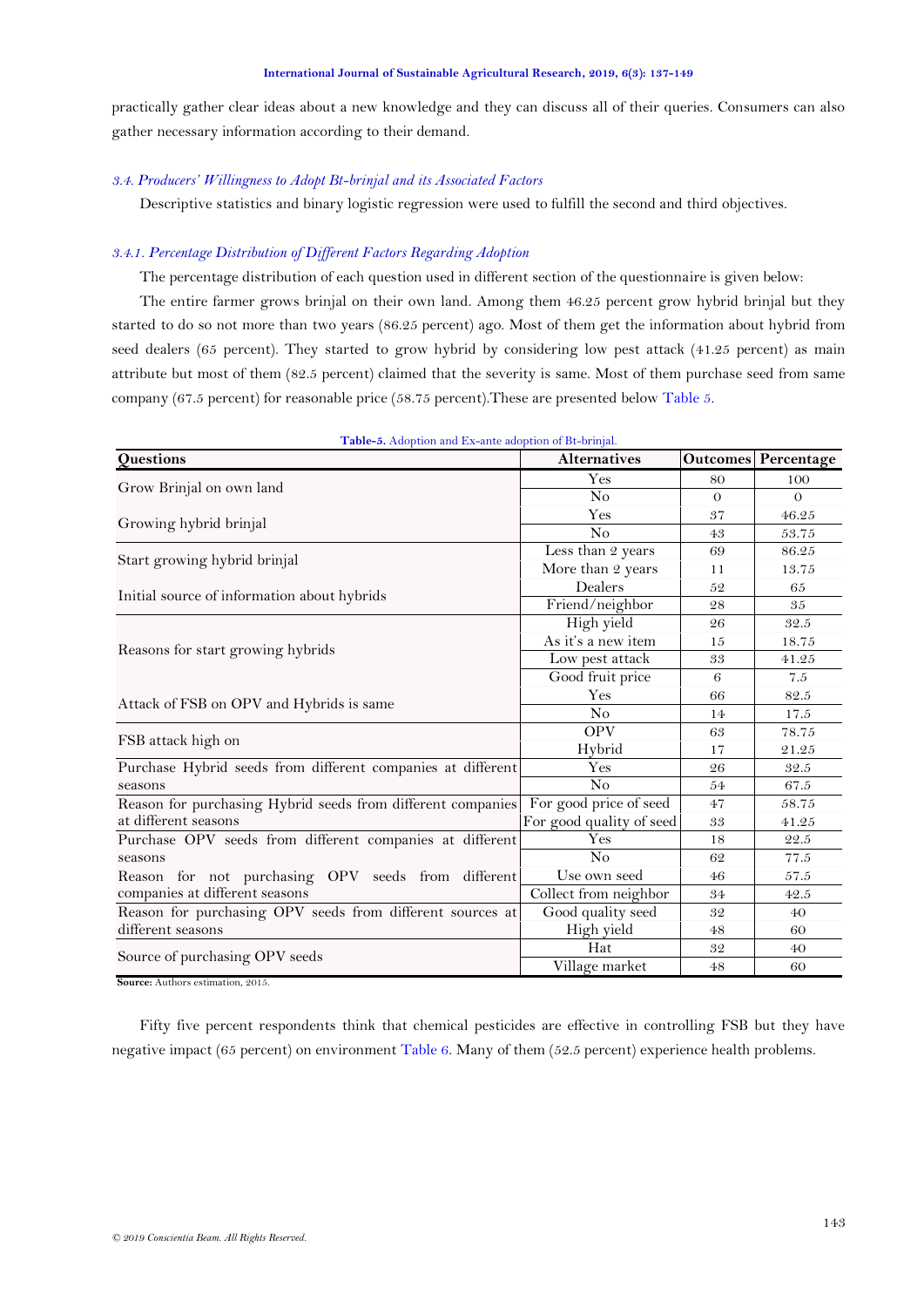practically gather clear ideas about a new knowledge and they can discuss all of their queries. Consumers can also gather necessary information according to their demand.

# *3.4. Producers' Willingness to Adopt Bt-brinjal and its Associated Factors*

Descriptive statistics and binary logistic regression were used to fulfill the second and third objectives.

### *3.4.1. Percentage Distribution of Different Factors Regarding Adoption*

The percentage distribution of each question used in different section of the questionnaire is given below:

The entire farmer grows brinjal on their own land. Among them 46.25 percent grow hybrid brinjal but they started to do so not more than two years (86.25 percent) ago. Most of them get the information about hybrid from seed dealers (65 percent). They started to grow hybrid by considering low pest attack (41.25 percent) as main attribute but most of them (82.5 percent) claimed that the severity is same. Most of them purchase seed from same company (67.5 percent) for reasonable price (58.75 percent).These are presented belo[w Table 5.](#page-6-0)

<span id="page-6-0"></span>

| <b>Table-5.</b> Adoption and Ex-ante adoption of De-bringal.<br>Questions | <b>Alternatives</b>      |          | <b>Outcomes Percentage</b> |
|---------------------------------------------------------------------------|--------------------------|----------|----------------------------|
|                                                                           | Yes                      | 80       | 100                        |
| Grow Brinjal on own land                                                  | No                       | $\Omega$ | $\Omega$                   |
|                                                                           | Yes                      | 37       | 46.25                      |
| Growing hybrid brinjal                                                    | No                       | 43       | 53.75                      |
|                                                                           | Less than 2 years        | 69       | 86.25                      |
| Start growing hybrid brinjal                                              | More than 2 years        | 11       | 13.75                      |
|                                                                           | Dealers                  | 52       | 65                         |
| Initial source of information about hybrids                               | Friend/neighbor          | 28       | 35                         |
|                                                                           | High yield               | 26       | 32.5                       |
|                                                                           | As it's a new item       | 15       | 18.75                      |
| Reasons for start growing hybrids                                         | Low pest attack          | 33       | 41.25                      |
|                                                                           | Good fruit price         | 6        | 7.5                        |
|                                                                           | Yes                      | 66       | 82.5                       |
| Attack of FSB on OPV and Hybrids is same                                  | N <sub>o</sub>           | 14       | 17.5                       |
|                                                                           | <b>OPV</b>               | 63       | 78.75                      |
| FSB attack high on                                                        | Hybrid                   | 17       | 21.25                      |
| Purchase Hybrid seeds from different companies at different               | Yes                      | 26       | 32.5                       |
| seasons                                                                   | No                       | 54       | 67.5                       |
| Reason for purchasing Hybrid seeds from different companies               | For good price of seed   | 47       | 58.75                      |
| at different seasons                                                      | For good quality of seed | 33       | 41.25                      |
| Purchase OPV seeds from different companies at different                  | $\rm Yes$                | 18       | 22.5                       |
| seasons                                                                   | No                       | 62       | 77.5                       |
| Reason for not purchasing OPV seeds from different                        | Use own seed             | 46       | 57.5                       |
| companies at different seasons                                            | Collect from neighbor    | 34       | 42.5                       |
| Reason for purchasing OPV seeds from different sources at                 | Good quality seed        | 32       | 40                         |
| different seasons                                                         | High yield               | 48       | 60                         |
|                                                                           | Hat                      | 32       | 40                         |
| Source of purchasing OPV seeds                                            | Village market           | 48       | 60                         |

**Table-5.** Adoption and Ex-ante adoption of Bt-brinjal.

**Source:** Authors estimation, 2015.

Fifty five percent respondents think that chemical pesticides are effective in controlling FSB but they have negative impact (65 percent) on environment [Table 6.](#page-7-0) Many of them (52.5 percent) experience health problems.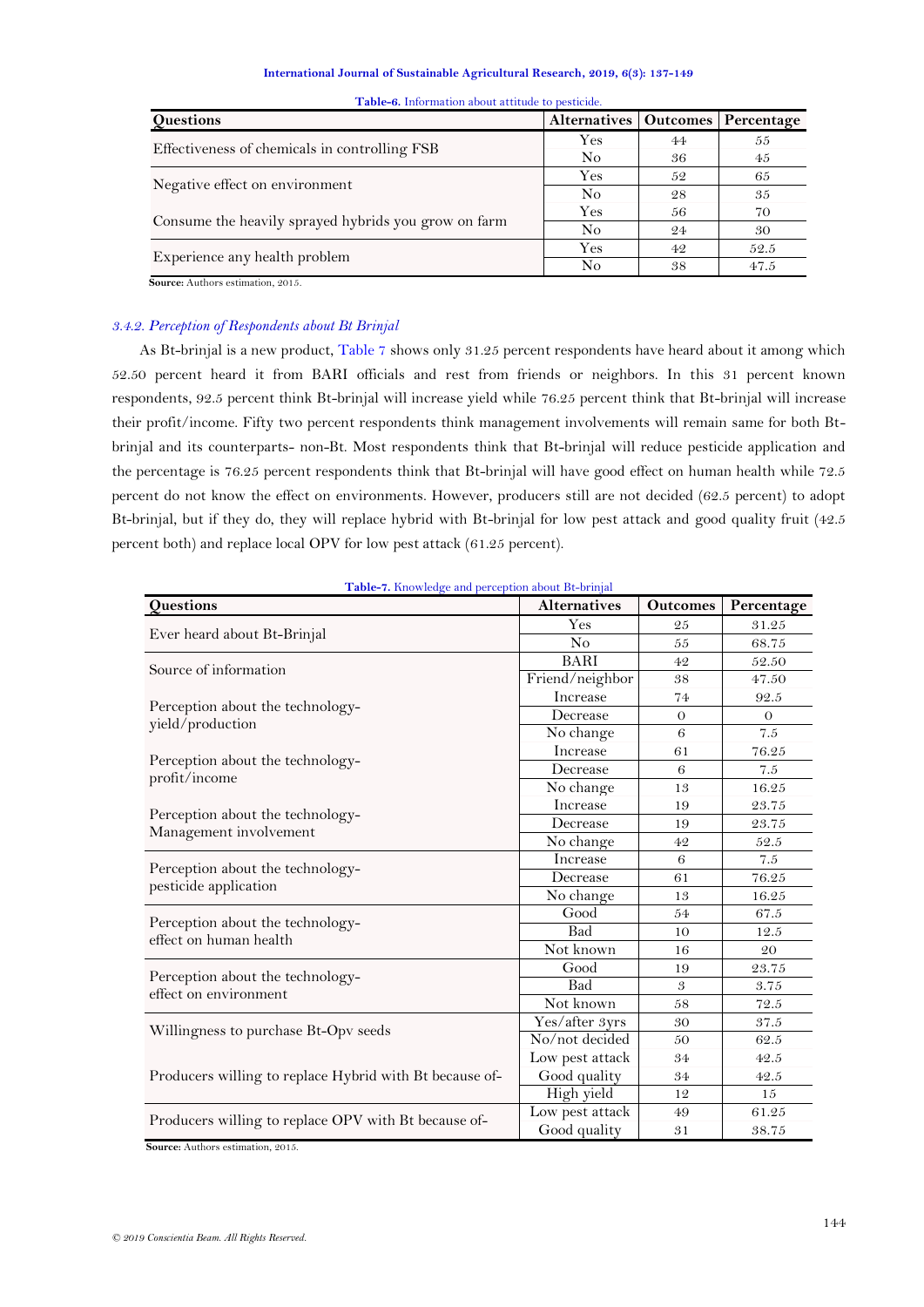<span id="page-7-0"></span>

| <b>Questions</b>                                     | Alternatives   Outcomes   Percentage |    |      |
|------------------------------------------------------|--------------------------------------|----|------|
|                                                      | Yes                                  | 44 | 55   |
| Effectiveness of chemicals in controlling FSB        | N <sub>o</sub>                       | 36 | 45   |
|                                                      | Yes                                  | 52 | 65   |
| Negative effect on environment                       | N <sub>o</sub>                       | 28 | 35   |
|                                                      | Yes                                  | 56 | 70   |
| Consume the heavily sprayed hybrids you grow on farm | No                                   | 24 | 30   |
|                                                      | Yes                                  | 42 | 52.5 |
| Experience any health problem                        | No                                   | 38 | 47.5 |
| Source: Authors estimation, 2015.                    |                                      |    |      |

**Table-6.** Information about attitude to pesticide.

### *3.4.2. Perception of Respondents about Bt Brinjal*

As Bt-brinjal is a new product[, Table 7](#page-7-1) shows only 31.25 percent respondents have heard about it among which 52.50 percent heard it from BARI officials and rest from friends or neighbors. In this 31 percent known respondents, 92.5 percent think Bt-brinjal will increase yield while 76.25 percent think that Bt-brinjal will increase their profit/income. Fifty two percent respondents think management involvements will remain same for both Btbrinjal and its counterparts- non-Bt. Most respondents think that Bt-brinjal will reduce pesticide application and the percentage is 76.25 percent respondents think that Bt-brinjal will have good effect on human health while 72.5 percent do not know the effect on environments. However, producers still are not decided (62.5 percent) to adopt Bt-brinjal, but if they do, they will replace hybrid with Bt-brinjal for low pest attack and good quality fruit (42.5 percent both) and replace local OPV for low pest attack (61.25 percent).

<span id="page-7-1"></span>

| Questions                                                  | <b>Alternatives</b> | <b>Outcomes</b> | Percentage |
|------------------------------------------------------------|---------------------|-----------------|------------|
|                                                            | Yes                 | 25              | 31.25      |
| Ever heard about Bt-Brinjal                                | N <sub>o</sub>      | 55              | 68.75      |
| Source of information                                      | <b>BARI</b>         | 42              | 52.50      |
|                                                            | Friend/neighbor     | 38              | 47.50      |
|                                                            | Increase            | 74              | 92.5       |
| Perception about the technology-                           | Decrease            | $\theta$        | $\theta$   |
| yield/production                                           | No change           | 6               | 7.5        |
|                                                            | Increase            | 61              | 76.25      |
| Perception about the technology-                           | Decrease            | 6               | 7.5        |
| profit/income                                              | No change           | 13              | 16.25      |
|                                                            | Increase            | 19              | 23.75      |
| Perception about the technology-                           | Decrease            | 19              | 23.75      |
| Management involvement                                     | No change           | 42              | 52.5       |
|                                                            | Increase            | 6               | 7.5        |
| Perception about the technology-                           | Decrease            | 61              | 76.25      |
| pesticide application                                      | No change           | 13              | 16.25      |
|                                                            | Good                | 54              | 67.5       |
| Perception about the technology-<br>effect on human health | <b>Bad</b>          | 10              | 12.5       |
|                                                            | Not known           | 16              | 20         |
|                                                            | Good                | 19              | 23.75      |
| Perception about the technology-<br>effect on environment  | Bad                 | 3               | 3.75       |
|                                                            | Not known           | 58              | 72.5       |
|                                                            | Yes/after 3yrs      | 30              | 37.5       |
| Willingness to purchase Bt-Opv seeds                       | No/not decided      | 50              | 62.5       |
|                                                            | Low pest attack     | 34              | 42.5       |
| Producers willing to replace Hybrid with Bt because of-    | Good quality        | 34              | 42.5       |
|                                                            | High yield          | 12              | 15         |
|                                                            | Low pest attack     | 49              | 61.25      |
| Producers willing to replace OPV with Bt because of-       | Good quality        | 31              | 38.75      |

**Table-7.** Knowledge and perception about Bt-brinjal

 **Source:** Authors estimation, 2015.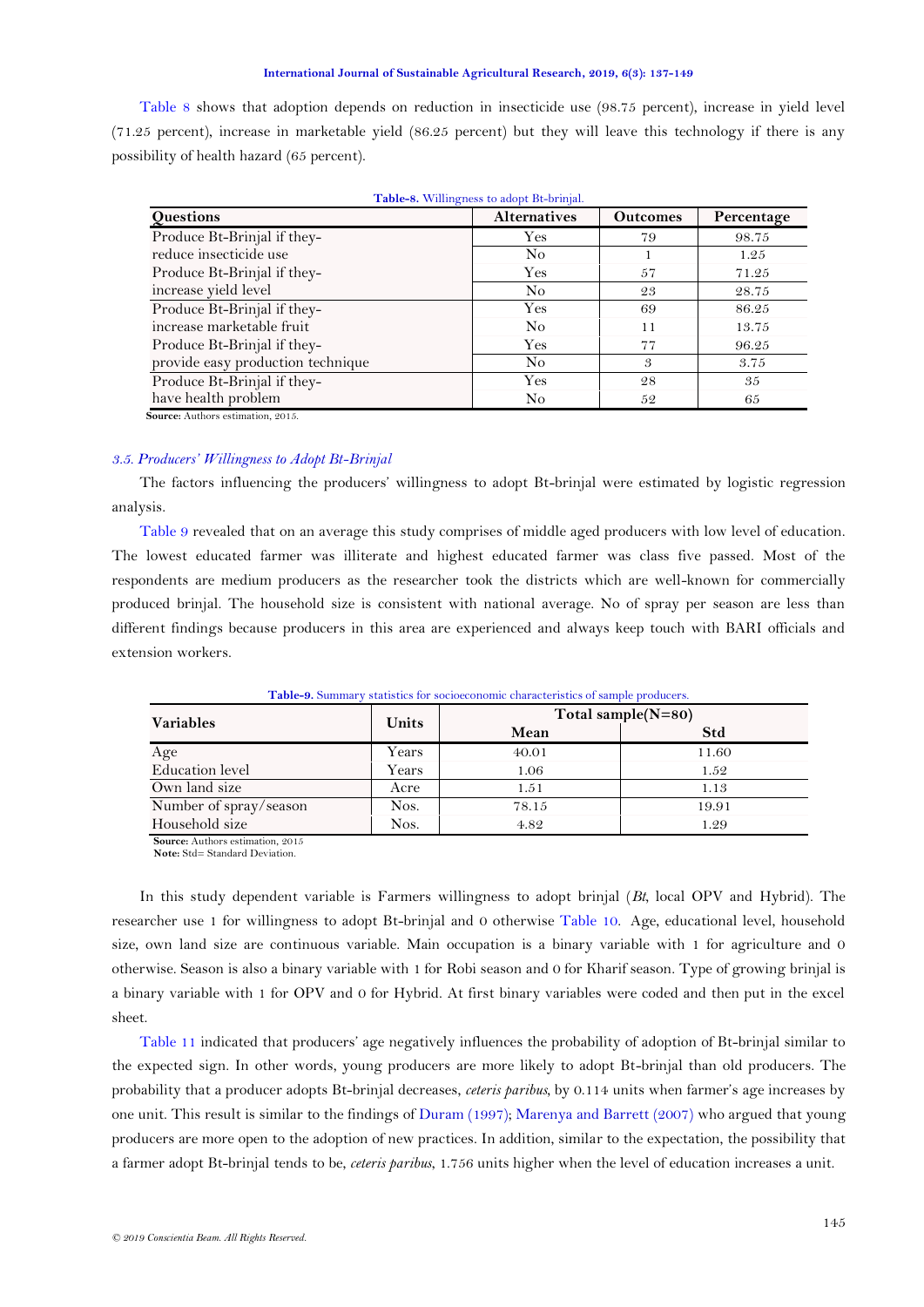[Table 8](#page-8-0) shows that adoption depends on reduction in insecticide use (98.75 percent), increase in yield level (71.25 percent), increase in marketable yield (86.25 percent) but they will leave this technology if there is any possibility of health hazard (65 percent).

<span id="page-8-0"></span>

| Questions                         | <b>Alternatives</b> | <b>Outcomes</b> | Percentage |
|-----------------------------------|---------------------|-----------------|------------|
| Produce Bt-Brinjal if they-       | Yes                 | 79              | 98.75      |
| reduce insecticide use            | No                  |                 | 1.25       |
| Produce Bt-Brinjal if they-       | <b>Yes</b>          | 57              | 71.25      |
| increase yield level              | No                  | 23              | 28.75      |
| Produce Bt-Brinjal if they-       | Yes                 | 69              | 86.25      |
| increase marketable fruit         | No                  | 11              | 13.75      |
| Produce Bt-Brinjal if they-       | Yes                 | 77              | 96.25      |
| provide easy production technique | No.                 | 3               | 3.75       |
| Produce Bt-Brinjal if they-       | Yes                 | 28              | 35         |
| have health problem               | No                  | 52              | 65         |

| Table-8. Willingness to adopt Bt-brinjal. |  |  |  |
|-------------------------------------------|--|--|--|
|                                           |  |  |  |

### *3.5. Producers' Willingness to Adopt Bt-Brinjal*

The factors influencing the producers" willingness to adopt Bt-brinjal were estimated by logistic regression analysis.

[Table 9](#page-8-1) revealed that on an average this study comprises of middle aged producers with low level of education. The lowest educated farmer was illiterate and highest educated farmer was class five passed. Most of the respondents are medium producers as the researcher took the districts which are well-known for commercially produced brinjal. The household size is consistent with national average. No of spray per season are less than different findings because producers in this area are experienced and always keep touch with BARI officials and extension workers.

<span id="page-8-1"></span>

| <b>Variables</b>       | Units |       | Total sample $(N=80)$ |
|------------------------|-------|-------|-----------------------|
|                        |       | Mean  | <b>Std</b>            |
| Age                    | Years | 40.01 | 11.60                 |
| <b>Education</b> level | Years | 1.06  | 1.52                  |
| Own land size          | Acre  | 1.51  | 1.13                  |
| Number of spray/season | Nos.  | 78.15 | 19.91                 |
| Household size         | Nos.  | 4.82  | 1.29                  |

**Table-9.** Summary statistics for socioeconomic characteristics of sample producers.

**Source:** Authors estimation, 2015 **Note:** Std= Standard Deviation.

In this study dependent variable is Farmers willingness to adopt brinjal (*Bt*, local OPV and Hybrid). The researcher use 1 for willingness to adopt Bt-brinjal and 0 otherwise [Table 10.](#page-8-2) Age, educational level, household size, own land size are continuous variable. Main occupation is a binary variable with 1 for agriculture and 0 otherwise. Season is also a binary variable with 1 for Robi season and 0 for Kharif season. Type of growing brinjal is a binary variable with 1 for OPV and 0 for Hybrid. At first binary variables were coded and then put in the excel sheet.

<span id="page-8-2"></span>[Table 11](#page-9-0) indicated that producers" age negatively influences the probability of adoption of Bt-brinjal similar to the expected sign. In other words, young producers are more likely to adopt Bt-brinjal than old producers. The probability that a producer adopts Bt-brinjal decreases, *ceteris paribus,* by 0.114 units when farmer"s age increases by one unit. This result is similar to the findings of [Duram \(1997\)](#page-11-18); [Marenya and Barrett \(2007\)](#page-11-19) who argued that young producers are more open to the adoption of new practices. In addition, similar to the expectation, the possibility that a farmer adopt Bt-brinjal tends to be, *ceteris paribus*, 1.756 units higher when the level of education increases a unit.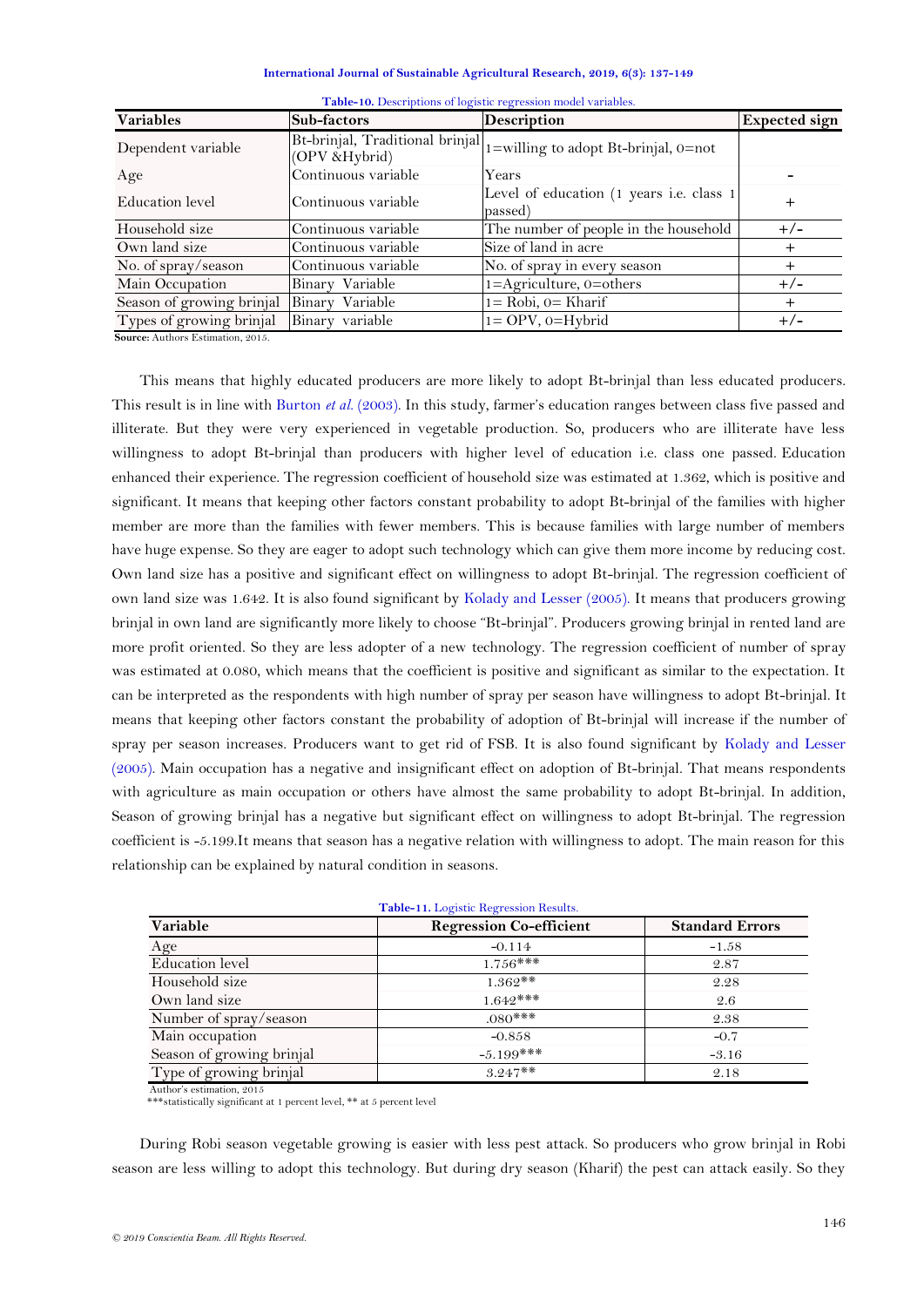| International Journal of Sustainable Agricultural Research, 2019, 6(3): 137-149 |  |
|---------------------------------------------------------------------------------|--|
|---------------------------------------------------------------------------------|--|

| <b>Variables</b>                            | Sub-factors         | <b>Description</b>                                                    | <b>Expected sign</b> |
|---------------------------------------------|---------------------|-----------------------------------------------------------------------|----------------------|
| Dependent variable                          | (OPV &Hybrid)       | Bt-brinjal, Traditional brinjal  1=willing to adopt Bt-brinjal, 0=not |                      |
| Age                                         | Continuous variable | Years                                                                 |                      |
| Education level                             | Continuous variable | Level of education (1 years i.e. class 1<br>passed)                   |                      |
| Household size                              | Continuous variable | The number of people in the household                                 | $+/-$                |
| Own land size                               | Continuous variable | Size of land in acre                                                  |                      |
| No. of spray/season                         | Continuous variable | No. of spray in every season                                          | ┿                    |
| Main Occupation                             | Binary Variable     | $1 =$ Agriculture, 0=others                                           | $+/-$                |
| Season of growing brinjal                   | Binary Variable     | $1 = \text{Robi}$ , $0 = \text{Kharif}$                               | $\,{}^+$             |
| Types of growing brinjal<br>_______________ | Binary variable     | $1 = OPV$ , $0 = Hybrid$                                              | $+/-$                |

|  |  | Table-10. Descriptions of logistic regression model variables. |  |  |
|--|--|----------------------------------------------------------------|--|--|
|--|--|----------------------------------------------------------------|--|--|

**Source:** Authors Estimation, 2015.

This means that highly educated producers are more likely to adopt Bt-brinjal than less educated producers. This result is in line with [Burton](#page-11-20) *et al.* (2003). In this study, farmer"s education ranges between class five passed and illiterate. But they were very experienced in vegetable production. So, producers who are illiterate have less willingness to adopt Bt-brinjal than producers with higher level of education i.e. class one passed. Education enhanced their experience. The regression coefficient of household size was estimated at 1.362, which is positive and significant. It means that keeping other factors constant probability to adopt Bt-brinjal of the families with higher member are more than the families with fewer members. This is because families with large number of members have huge expense. So they are eager to adopt such technology which can give them more income by reducing cost. Own land size has a positive and significant effect on willingness to adopt Bt-brinjal. The regression coefficient of own land size was 1.642. It is also found significant by [Kolady and Lesser \(2005\)](#page-11-12). It means that producers growing brinjal in own land are significantly more likely to choose "Bt-brinjal". Producers growing brinjal in rented land are more profit oriented. So they are less adopter of a new technology. The regression coefficient of number of spray was estimated at 0.080, which means that the coefficient is positive and significant as similar to the expectation. It can be interpreted as the respondents with high number of spray per season have willingness to adopt Bt-brinjal. It means that keeping other factors constant the probability of adoption of Bt-brinjal will increase if the number of spray per season increases. Producers want to get rid of FSB. It is also found significant by [Kolady and Lesser](#page-11-12)  [\(2005\)](#page-11-12). Main occupation has a negative and insignificant effect on adoption of Bt-brinjal. That means respondents with agriculture as main occupation or others have almost the same probability to adopt Bt-brinjal. In addition, Season of growing brinjal has a negative but significant effect on willingness to adopt Bt-brinjal. The regression coefficient is -5.199.It means that season has a negative relation with willingness to adopt. The main reason for this relationship can be explained by natural condition in seasons.

<span id="page-9-0"></span>

| <b>Table-11.</b> Logistic Regression Results. |                                |                        |  |  |  |
|-----------------------------------------------|--------------------------------|------------------------|--|--|--|
| Variable                                      | <b>Regression Co-efficient</b> | <b>Standard Errors</b> |  |  |  |
| Age                                           | $-0.114$                       | $-1.58$                |  |  |  |
| Education level                               | $1.756***$                     | 2.87                   |  |  |  |
| Household size                                | $1.362**$                      | 2.28                   |  |  |  |
| Own land size                                 | $1.642***$                     | 2.6                    |  |  |  |
| Number of spray/season                        | $.080***$                      | 2.38                   |  |  |  |
| Main occupation                               | $-0.858$                       | $-0.7$                 |  |  |  |
| Season of growing brinjal                     | $-5.199$ ***                   | $-3.16$                |  |  |  |
| Type of growing brinjal                       | $3.247**$                      | 2.18                   |  |  |  |

**Table-11.** Logistic Regression Results.

Author's estimation, 2015

\*\*\*\*statistically significant at 1 percent level, \*\* at 5 percent level

During Robi season vegetable growing is easier with less pest attack. So producers who grow brinjal in Robi season are less willing to adopt this technology. But during dry season (Kharif) the pest can attack easily. So they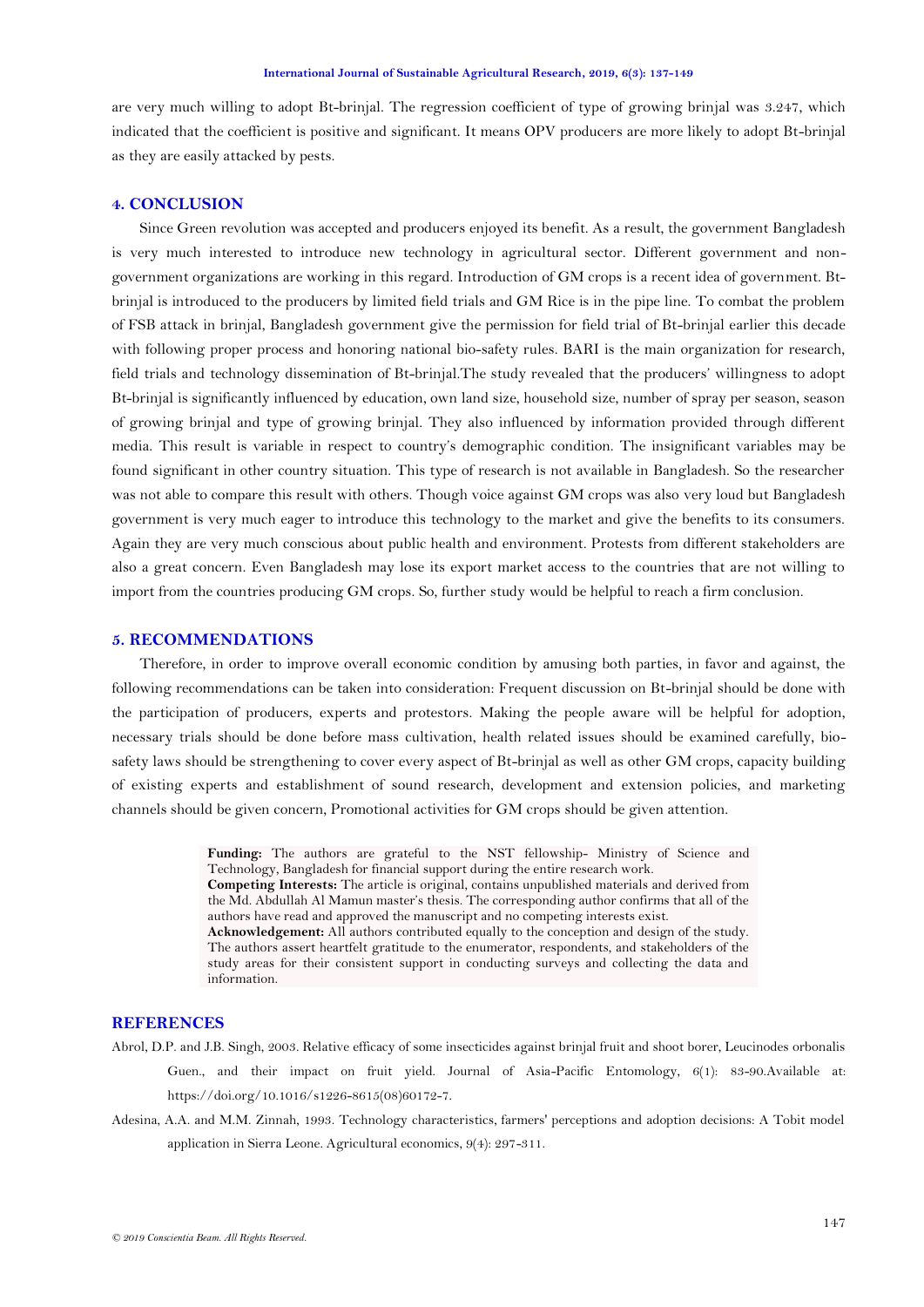are very much willing to adopt Bt-brinjal. The regression coefficient of type of growing brinjal was 3.247, which indicated that the coefficient is positive and significant. It means OPV producers are more likely to adopt Bt-brinjal as they are easily attacked by pests.

# **4. CONCLUSION**

Since Green revolution was accepted and producers enjoyed its benefit. As a result, the government Bangladesh is very much interested to introduce new technology in agricultural sector. Different government and nongovernment organizations are working in this regard. Introduction of GM crops is a recent idea of government. Btbrinjal is introduced to the producers by limited field trials and GM Rice is in the pipe line. To combat the problem of FSB attack in brinjal, Bangladesh government give the permission for field trial of Bt-brinjal earlier this decade with following proper process and honoring national bio-safety rules. BARI is the main organization for research, field trials and technology dissemination of Bt-brinjal.The study revealed that the producers" willingness to adopt Bt-brinjal is significantly influenced by education, own land size, household size, number of spray per season, season of growing brinjal and type of growing brinjal. They also influenced by information provided through different media. This result is variable in respect to country"s demographic condition. The insignificant variables may be found significant in other country situation. This type of research is not available in Bangladesh. So the researcher was not able to compare this result with others. Though voice against GM crops was also very loud but Bangladesh government is very much eager to introduce this technology to the market and give the benefits to its consumers. Again they are very much conscious about public health and environment. Protests from different stakeholders are also a great concern. Even Bangladesh may lose its export market access to the countries that are not willing to import from the countries producing GM crops. So, further study would be helpful to reach a firm conclusion.

### **5. RECOMMENDATIONS**

Therefore, in order to improve overall economic condition by amusing both parties, in favor and against, the following recommendations can be taken into consideration: Frequent discussion on Bt-brinjal should be done with the participation of producers, experts and protestors. Making the people aware will be helpful for adoption, necessary trials should be done before mass cultivation, health related issues should be examined carefully, biosafety laws should be strengthening to cover every aspect of Bt-brinjal as well as other GM crops, capacity building of existing experts and establishment of sound research, development and extension policies, and marketing channels should be given concern, Promotional activities for GM crops should be given attention.

> **Funding:** The authors are grateful to the NST fellowship- Ministry of Science and Technology, Bangladesh for financial support during the entire research work. **Competing Interests:** The article is original, contains unpublished materials and derived from the Md. Abdullah Al Mamun master"s thesis. The corresponding author confirms that all of the authors have read and approved the manuscript and no competing interests exist. **Acknowledgement:** All authors contributed equally to the conception and design of the study. The authors assert heartfelt gratitude to the enumerator, respondents, and stakeholders of the study areas for their consistent support in conducting surveys and collecting the data and information.

#### **REFERENCES**

- <span id="page-10-0"></span>Abrol, D.P. and J.B. Singh, 2003. Relative efficacy of some insecticides against brinjal fruit and shoot borer, Leucinodes orbonalis Guen., and their impact on fruit yield. Journal of Asia-Pacific Entomology, 6(1): 83-90.Available at: https://doi.org/10.1016/s1226-8615(08)60172-7.
- <span id="page-10-1"></span>Adesina, A.A. and M.M. Zinnah, 1993. Technology characteristics, farmers' perceptions and adoption decisions: A Tobit model application in Sierra Leone. Agricultural economics, 9(4): 297-311.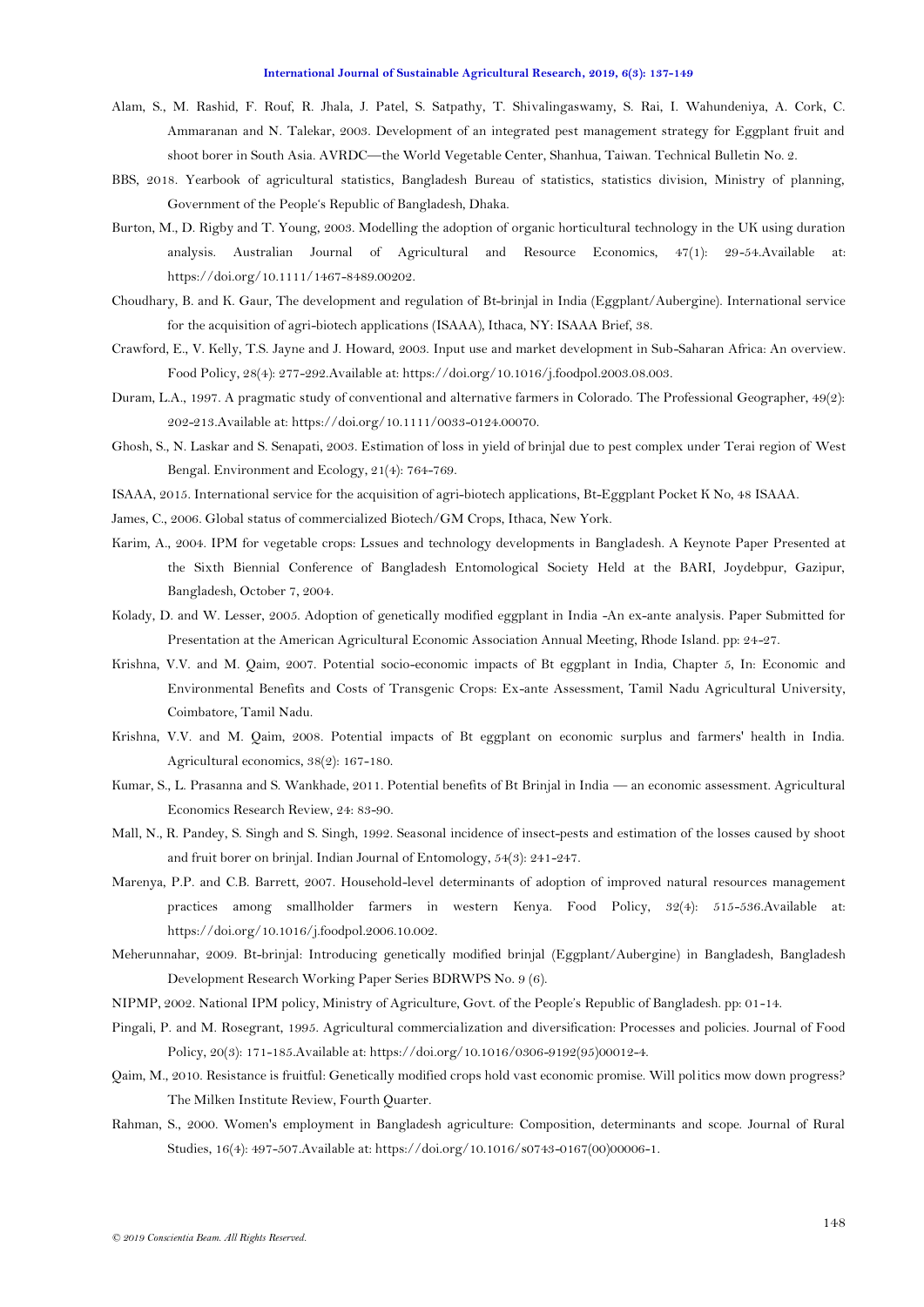- <span id="page-11-7"></span>Alam, S., M. Rashid, F. Rouf, R. Jhala, J. Patel, S. Satpathy, T. Shivalingaswamy, S. Rai, I. Wahundeniya, A. Cork, C. Ammaranan and N. Talekar, 2003. Development of an integrated pest management strategy for Eggplant fruit and shoot borer in South Asia. AVRDC—the World Vegetable Center, Shanhua, Taiwan. Technical Bulletin No. 2.
- <span id="page-11-1"></span>BBS, 2018. Yearbook of agricultural statistics, Bangladesh Bureau of statistics, statistics division, Ministry of planning, Government of the People"s Republic of Bangladesh, Dhaka.
- <span id="page-11-20"></span>Burton, M., D. Rigby and T. Young, 2003. Modelling the adoption of organic horticultural technology in the UK using duration analysis. Australian Journal of Agricultural and Resource Economics, 47(1): 29-54.Available at: https://doi.org/10.1111/1467-8489.00202.
- <span id="page-11-8"></span>Choudhary, B. and K. Gaur, The development and regulation of Bt-brinjal in India (Eggplant/Aubergine). International service for the acquisition of agri-biotech applications (ISAAA), Ithaca, NY: ISAAA Brief, 38.
- <span id="page-11-10"></span>Crawford, E., V. Kelly, T.S. Jayne and J. Howard, 2003. Input use and market development in Sub-Saharan Africa: An overview. Food Policy, 28(4): 277-292.Available at: https://doi.org/10.1016/j.foodpol.2003.08.003.
- <span id="page-11-18"></span>Duram, L.A., 1997. A pragmatic study of conventional and alternative farmers in Colorado. The Professional Geographer, 49(2): 202-213.Available at: https://doi.org/10.1111/0033-0124.00070.
- <span id="page-11-4"></span>Ghosh, S., N. Laskar and S. Senapati, 2003. Estimation of loss in yield of brinjal due to pest complex under Terai region of West Bengal. Environment and Ecology, 21(4): 764-769.
- <span id="page-11-17"></span>ISAAA, 2015. International service for the acquisition of agri-biotech applications, Bt-Eggplant Pocket K No, 48 ISAAA.
- <span id="page-11-9"></span>James, C., 2006. Global status of commercialized Biotech/GM Crops, Ithaca, New York.
- <span id="page-11-5"></span>Karim, A., 2004. IPM for vegetable crops: Lssues and technology developments in Bangladesh. A Keynote Paper Presented at the Sixth Biennial Conference of Bangladesh Entomological Society Held at the BARI, Joydebpur, Gazipur, Bangladesh, October 7, 2004.
- <span id="page-11-12"></span>Kolady, D. and W. Lesser, 2005. Adoption of genetically modified eggplant in India -An ex-ante analysis. Paper Submitted for Presentation at the American Agricultural Economic Association Annual Meeting, Rhode Island. pp: 24-27.
- <span id="page-11-13"></span>Krishna, V.V. and M. Qaim, 2007. Potential socio-economic impacts of Bt eggplant in India, Chapter 5, In: Economic and Environmental Benefits and Costs of Transgenic Crops: Ex-ante Assessment, Tamil Nadu Agricultural University, Coimbatore, Tamil Nadu.
- <span id="page-11-14"></span>Krishna, V.V. and M. Qaim, 2008. Potential impacts of Bt eggplant on economic surplus and farmers' health in India. Agricultural economics, 38(2): 167-180.
- <span id="page-11-16"></span>Kumar, S., L. Prasanna and S. Wankhade, 2011. Potential benefits of Bt Brinjal in India — an economic assessment. Agricultural Economics Research Review, 24: 83-90.
- <span id="page-11-3"></span>Mall, N., R. Pandey, S. Singh and S. Singh, 1992. Seasonal incidence of insect-pests and estimation of the losses caused by shoot and fruit borer on brinjal. Indian Journal of Entomology, 54(3): 241-247.
- <span id="page-11-19"></span>Marenya, P.P. and C.B. Barrett, 2007. Household-level determinants of adoption of improved natural resources management practices among smallholder farmers in western Kenya. Food Policy, 32(4): 515-536.Available at: https://doi.org/10.1016/j.foodpol.2006.10.002.
- <span id="page-11-0"></span>Meherunnahar, 2009. Bt-brinjal: Introducing genetically modified brinjal (Eggplant/Aubergine) in Bangladesh, Bangladesh Development Research Working Paper Series BDRWPS No. 9 (6).
- <span id="page-11-2"></span>NIPMP, 2002. National IPM policy, Ministry of Agriculture, Govt. of the People"s Republic of Bangladesh. pp: 01-14.
- <span id="page-11-11"></span>Pingali, P. and M. Rosegrant, 1995. Agricultural commercialization and diversification: Processes and policies. Journal of Food Policy, 20(3): 171-185.Available at: https://doi.org/10.1016/0306-9192(95)00012-4.
- <span id="page-11-15"></span>Qaim, M., 2010. Resistance is fruitful: Genetically modified crops hold vast economic promise. Will politics mow down progress? The Milken Institute Review, Fourth Quarter.
- <span id="page-11-6"></span>Rahman, S., 2000. Women's employment in Bangladesh agriculture: Composition, determinants and scope. Journal of Rural Studies, 16(4): 497-507.Available at: https://doi.org/10.1016/s0743-0167(00)00006-1.